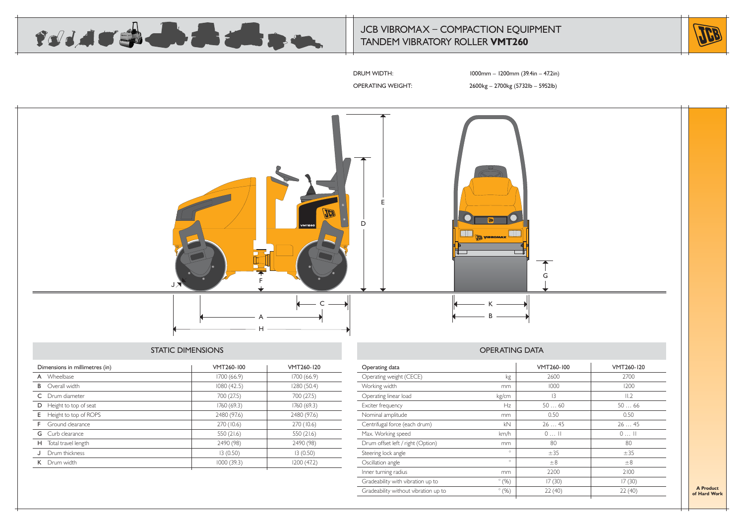

# JCB VIBROMAX – COMPACTION EQUIPMENT TANDEM VIBRATORY ROLLER **VMT260**



DRUM WIDTH: 1000mm – 1200mm (39.4in – 47.2in)

OPERATING WEIGHT: 2600kg – 2700kg (5732lb – 5952lb)



## STATIC DIMENSIONS

| Dimensions in millimetres (in) | VMT260-100  | VMT260-120  |
|--------------------------------|-------------|-------------|
| A Wheelbase                    | I700 (66.9) | 1700 (66.9) |
| Overall width<br>B             | 1080(42.5)  | 1280 (50.4) |
| C Drum diameter                | 700 (27.5)  | 700 (27.5)  |
| Height to top of seat<br>D     | 1760 (69.3) | 1760(69.3)  |
| Height to top of ROPS<br>E.    | 2480 (97.6) | 2480 (97.6) |
| Ground clearance<br>F.         | 270 (10.6)  | 270 (10.6)  |
| <b>G</b> Curb clearance        | 550 (21.6)  | 550 (21.6)  |
| Total travel length<br>H.      | 2490 (98)   | 2490 (98)   |
| Drum thickness                 | 13(0.50)    | 13(0.50)    |
| K Drum width                   | 1000(39.3)  | 1200 (47.2) |
|                                |             |             |

| Operating data                       |               | VMT260-100 | VMT260-120 |
|--------------------------------------|---------------|------------|------------|
| Operating weight (CECE)              | kg            | 2600       | 2700       |
| Working width                        | mm            | 1000       | 1200       |
| Operating linear load                | kg/cm         | 13         | II.2       |
| Exciter frequency                    | Hz            | 5060       | 5066       |
| Nominal amplitude                    | mm            | 0.50       | 0.50       |
| Centrifugal force (each drum)        | kN            | 2645       | 2645       |
| Max. Working speed                   | km/h          | $0$ $  $   | $0$ II     |
| Drum offset left / right (Option)    | mm            | 80         | 80         |
| Steering lock angle                  | $\circ$       | ±35        | ±35        |
| Oscillation angle                    | $\circ$       | $\pm 8$    | $\pm 8$    |
| Inner turning radius                 | mm            | 2200       | 2100       |
| Gradeability with vibration up to    | $\degree$ (%) | 17(30)     | 17(30)     |
| Gradeability without vibration up to | $\degree$ (%) | 22(40)     | 22(40)     |
|                                      |               |            |            |

**A Product of Hard Work**